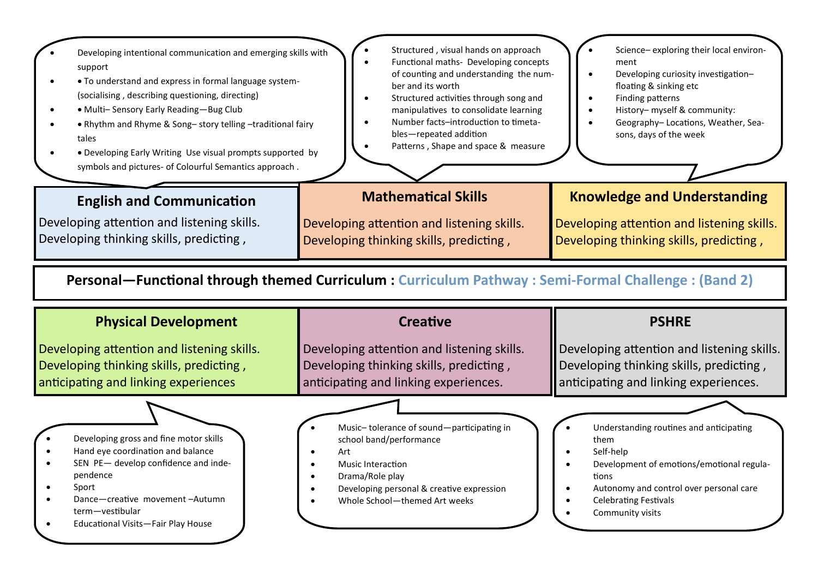| Developing intentional communication and emerging skills with<br>support<br>• To understand and express in formal language system-<br>(socialising, describing questioning, directing)<br>· Multi-Sensory Early Reading-Bug Club<br>. Rhythm and Rhyme & Song-story telling -traditional fairy<br>tales<br>• Developing Early Writing Use visual prompts supported by<br>symbols and pictures- of Colourful Semantics approach. | Structured, visual hands on approach<br>Functional maths- Developing concepts<br>of counting and understanding the num-<br>ber and its worth<br>Structured activities through song and<br>manipulatives to consolidate learning<br>Number facts-introduction to timeta-<br>bles-repeated addition<br>Patterns, Shape and space & measure | Science-exploring their local environ-<br>ment<br>Developing curiosity investigation-<br>floating & sinking etc<br>Finding patterns<br>History- myself & community:<br>Geography-Locations, Weather, Sea-<br>sons, days of the week |
|---------------------------------------------------------------------------------------------------------------------------------------------------------------------------------------------------------------------------------------------------------------------------------------------------------------------------------------------------------------------------------------------------------------------------------|------------------------------------------------------------------------------------------------------------------------------------------------------------------------------------------------------------------------------------------------------------------------------------------------------------------------------------------|-------------------------------------------------------------------------------------------------------------------------------------------------------------------------------------------------------------------------------------|
| <b>English and Communication</b>                                                                                                                                                                                                                                                                                                                                                                                                | <b>Mathematical Skills</b>                                                                                                                                                                                                                                                                                                               | <b>Knowledge and Understanding</b>                                                                                                                                                                                                  |
| Developing attention and listening skills.<br>Developing thinking skills, predicting,                                                                                                                                                                                                                                                                                                                                           | Developing attention and listening skills.<br>Developing thinking skills, predicting,                                                                                                                                                                                                                                                    | Developing attention and listening skills.<br>Developing thinking skills, predicting,                                                                                                                                               |
| Personal—Functional through themed Curriculum: Curriculum Pathway: Semi-Formal Challenge: (Band 2)                                                                                                                                                                                                                                                                                                                              |                                                                                                                                                                                                                                                                                                                                          |                                                                                                                                                                                                                                     |
|                                                                                                                                                                                                                                                                                                                                                                                                                                 |                                                                                                                                                                                                                                                                                                                                          |                                                                                                                                                                                                                                     |
| <b>Physical Development</b>                                                                                                                                                                                                                                                                                                                                                                                                     | <b>Creative</b>                                                                                                                                                                                                                                                                                                                          | <b>PSHRE</b>                                                                                                                                                                                                                        |
| Developing attention and listening skills.<br>Developing thinking skills, predicting,<br>anticipating and linking experiences                                                                                                                                                                                                                                                                                                   | Developing attention and listening skills.<br>Developing thinking skills, predicting,<br>anticipating and linking experiences.                                                                                                                                                                                                           | Developing attention and listening skills.<br>Developing thinking skills, predicting,<br>anticipating and linking experiences.                                                                                                      |